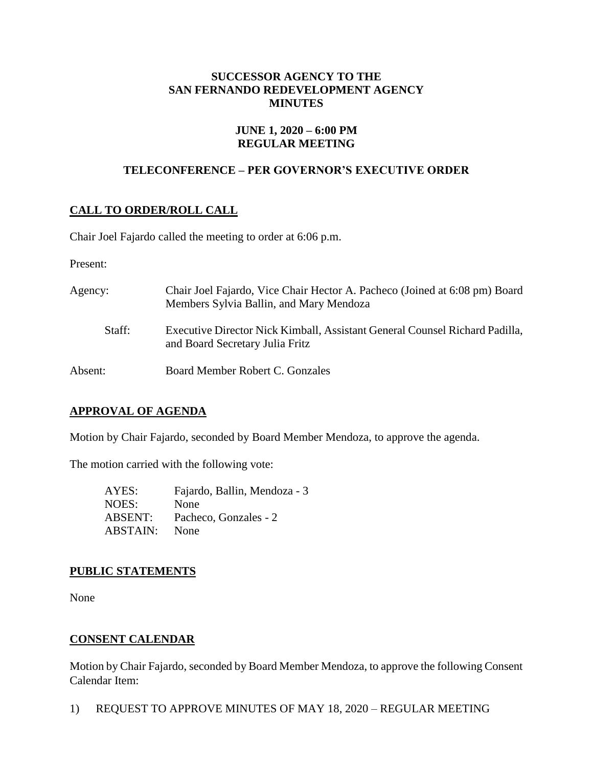#### **SUCCESSOR AGENCY TO THE SAN FERNANDO REDEVELOPMENT AGENCY MINUTES**

#### **JUNE 1, 2020 – 6:00 PM REGULAR MEETING**

# **TELECONFERENCE – PER GOVERNOR'S EXECUTIVE ORDER**

# **CALL TO ORDER/ROLL CALL**

Chair Joel Fajardo called the meeting to order at 6:06 p.m.

Present:

| Agency: | Chair Joel Fajardo, Vice Chair Hector A. Pacheco (Joined at 6:08 pm) Board<br>Members Sylvia Ballin, and Mary Mendoza |
|---------|-----------------------------------------------------------------------------------------------------------------------|
| Staff:  | Executive Director Nick Kimball, Assistant General Counsel Richard Padilla,<br>and Board Secretary Julia Fritz        |
| Absent: | Board Member Robert C. Gonzales                                                                                       |

## **APPROVAL OF AGENDA**

Motion by Chair Fajardo, seconded by Board Member Mendoza, to approve the agenda.

The motion carried with the following vote:

AYES: Fajardo, Ballin, Mendoza - 3 NOES: None ABSENT: Pacheco, Gonzales - 2 ABSTAIN: None

## **PUBLIC STATEMENTS**

None

## **CONSENT CALENDAR**

Motion by Chair Fajardo, seconded by Board Member Mendoza, to approve the following Consent Calendar Item:

1) REQUEST TO APPROVE MINUTES OF MAY 18, 2020 – REGULAR MEETING